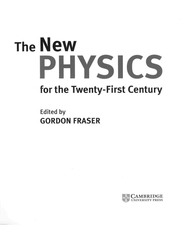## **The New PHYSICS for the Twenty-First Century**

**Edited by GORDON FRÄSER** 

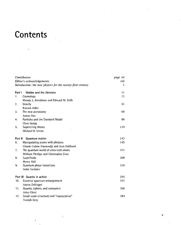## Contents

 $\bar{\gamma}_1$ 

|                           | Contributors                                               | page vii |
|---------------------------|------------------------------------------------------------|----------|
| Editor's acknowledgements |                                                            | viii     |
|                           | Introduction: the new physics for the twenty-first century | 1        |
| Part 1                    | Matter and the Universe                                    | 11       |
| 1.                        | Cosmology                                                  | 13       |
|                           | Wendy L. Freedman and Edward W. Kolb                       |          |
| 2.                        | Gravity                                                    | 41       |
|                           | Ronald Adler                                               |          |
| 3,                        | The new astronomy                                          | 69       |
|                           | Arnon Dar                                                  |          |
| 4.                        | Particles and the Standard Model                           | 86       |
|                           | Chris Quigg                                                |          |
| 5.                        | Superstring theory                                         | 119      |
|                           | Michael B. Green                                           |          |
| Part II                   | Quantum matter                                             | 143      |
| 6.                        | Manipulating atoms with photons                            | 145      |
|                           | Claude Cohen-Tannoudji and Jean Dalibard                   |          |
| 7.                        | The quantum world of ultra-cold atoms                      | 171      |
|                           | William Phillips and Christopher Foot                      |          |
| 8.                        | Superfluids                                                | 200      |
|                           | Henry Hall                                                 |          |
| 9.                        | Quantum phase transitions                                  | 229      |
|                           | Subir Sachdev                                              |          |
|                           | Part III Quanta in action                                  | 255      |
| 10.                       | Essential quantum entanglement                             | 257      |
|                           | Anton Zeilinger                                            |          |
| 11.                       | Quanta, ciphers, and computers                             | 268      |
|                           | Artur Ekert                                                |          |
| 12.                       | Small-scale structures and "nanoscience"                   | 284      |
|                           | Yoseph Imry                                                |          |

 $\bar{\mathbf{t}}$ 

 $\mathbf{v}$